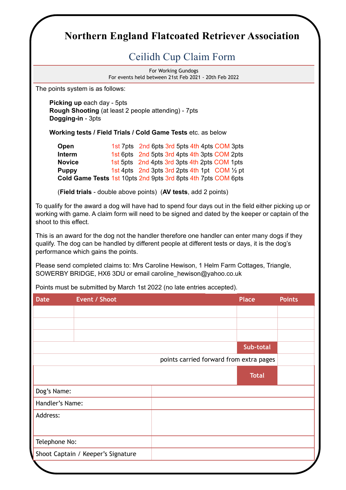## **Northern England Flatcoated Retriever Association**

## Ceilidh Cup Claim Form

For Working Gundogs For events held between 21st Feb 2021 - 20th Feb 2022

The points system is as follows:

**Picking up** each day - 5pts **Rough Shooting** (at least 2 people attending) - 7pts **Dogging-in** - 3pts

**Working tests / Field Trials / Cold Game Tests** etc. as below

| Open                                                          | 1st 7pts 2nd 6pts 3rd 5pts 4th 4pts COM 3pts  |  |  |  |  |
|---------------------------------------------------------------|-----------------------------------------------|--|--|--|--|
| <b>Interm</b>                                                 | 1st 6pts 2nd 5pts 3rd 4pts 4th 3pts COM 2pts  |  |  |  |  |
| <b>Novice</b>                                                 | 1st 5pts 2nd 4pts 3rd 3pts 4th 2pts COM 1pts  |  |  |  |  |
| <b>Puppy</b>                                                  | 1st 4pts 2nd 3pts 3rd 2pts 4th 1pt COM 1/2 pt |  |  |  |  |
| Cold Game Tests 1st 10pts 2nd 9pts 3rd 8pts 4th 7pts COM 6pts |                                               |  |  |  |  |

(**Field trials** - double above points) (**AV tests**, add 2 points)

To qualify for the award a dog will have had to spend four days out in the field either picking up or working with game. A claim form will need to be signed and dated by the keeper or captain of the shoot to this effect.

This is an award for the dog not the handler therefore one handler can enter many dogs if they qualify. The dog can be handled by different people at different tests or days, it is the dog's performance which gains the points.

Please send completed claims to: Mrs Caroline Hewison, 1 Helm Farm Cottages, Triangle, SOWERBY BRIDGE, HX6 3DU or email caroline\_hewison@yahoo.co.uk

Points must be submitted by March 1st 2022 (no late entries accepted).

| <b>Date</b>     | Event / Shoot                      |                                         | <b>Place</b> | <b>Points</b> |
|-----------------|------------------------------------|-----------------------------------------|--------------|---------------|
|                 |                                    |                                         |              |               |
|                 |                                    |                                         |              |               |
|                 |                                    |                                         |              |               |
|                 |                                    |                                         | Sub-total    |               |
|                 |                                    | points carried forward from extra pages |              |               |
|                 |                                    |                                         | <b>Total</b> |               |
| Dog's Name:     |                                    |                                         |              |               |
| Handler's Name: |                                    |                                         |              |               |
| Address:        |                                    |                                         |              |               |
|                 |                                    |                                         |              |               |
| Telephone No:   |                                    |                                         |              |               |
|                 | Shoot Captain / Keeper's Signature |                                         |              |               |
|                 |                                    |                                         |              |               |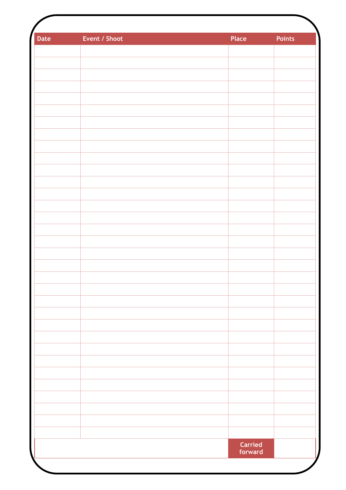| Date | Event / Shoot | Place                     | <b>Points</b> |
|------|---------------|---------------------------|---------------|
|      |               |                           |               |
|      |               |                           |               |
|      |               |                           |               |
|      |               |                           |               |
|      |               |                           |               |
|      |               |                           |               |
|      |               |                           |               |
|      |               |                           |               |
|      |               |                           |               |
|      |               |                           |               |
|      |               |                           |               |
|      |               |                           |               |
|      |               |                           |               |
|      |               |                           |               |
|      |               |                           |               |
|      |               |                           |               |
|      |               |                           |               |
|      |               |                           |               |
|      |               |                           |               |
|      |               |                           |               |
|      |               |                           |               |
|      |               |                           |               |
|      |               |                           |               |
|      |               |                           |               |
|      |               |                           |               |
|      |               |                           |               |
|      |               |                           |               |
|      |               |                           |               |
|      |               |                           |               |
|      |               |                           |               |
|      |               |                           |               |
|      |               |                           |               |
|      |               |                           |               |
|      |               | <b>Carried</b><br>forward |               |
|      |               |                           |               |